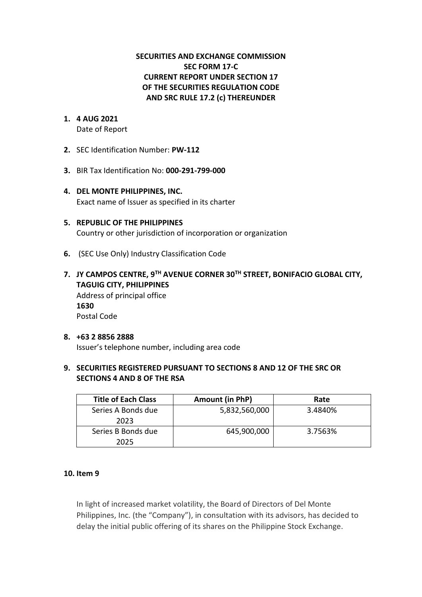## **SECURITIES AND EXCHANGE COMMISSION SEC FORM 17-C CURRENT REPORT UNDER SECTION 17 OF THE SECURITIES REGULATION CODE AND SRC RULE 17.2 (c) THEREUNDER**

# **1. 4 AUG 2021**

Date of Report

- **2.** SEC Identification Number: **PW-112**
- **3.** BIR Tax Identification No: **000-291-799-000**
- **4. DEL MONTE PHILIPPINES, INC.**  Exact name of Issuer as specified in its charter
- **5. REPUBLIC OF THE PHILIPPINES** Country or other jurisdiction of incorporation or organization
- **6.** (SEC Use Only) Industry Classification Code
- **7. JY CAMPOS CENTRE, 9TH AVENUE CORNER 30TH STREET, BONIFACIO GLOBAL CITY, TAGUIG CITY, PHILIPPINES** Address of principal office **1630** Postal Code

#### **8. +63 2 8856 2888** Issuer's telephone number, including area code

### **9. SECURITIES REGISTERED PURSUANT TO SECTIONS 8 AND 12 OF THE SRC OR SECTIONS 4 AND 8 OF THE RSA**

| <b>Title of Each Class</b> | Amount (in PhP) | Rate    |
|----------------------------|-----------------|---------|
| Series A Bonds due<br>2023 | 5,832,560,000   | 3.4840% |
| Series B Bonds due<br>2025 | 645,900,000     | 3.7563% |

### **10. Item 9**

In light of increased market volatility, the Board of Directors of Del Monte Philippines, Inc. (the "Company"), in consultation with its advisors, has decided to delay the initial public offering of its shares on the Philippine Stock Exchange.